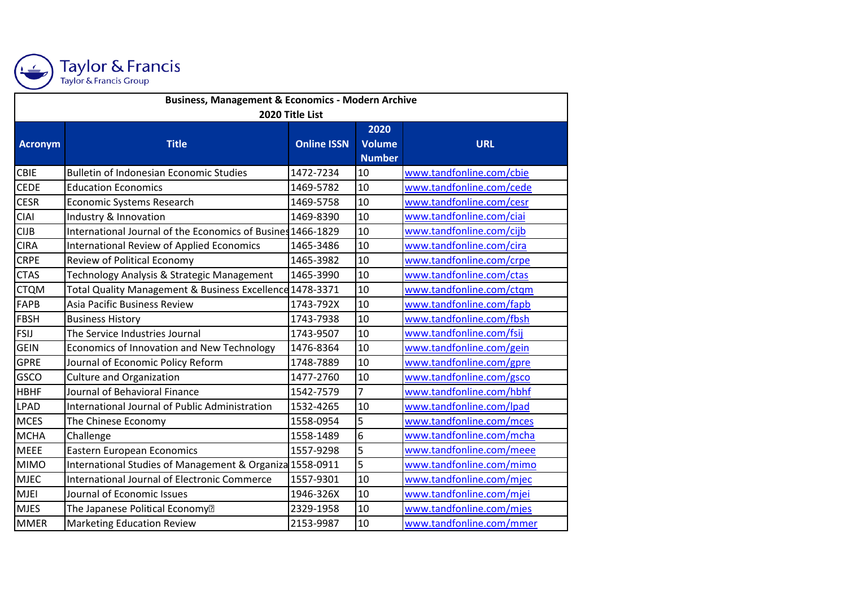

Taylor & Francis<br>Taylor & Francis Group

| <b>Business, Management &amp; Economics - Modern Archive</b> |                                                             |                    |               |                          |  |  |
|--------------------------------------------------------------|-------------------------------------------------------------|--------------------|---------------|--------------------------|--|--|
| 2020 Title List                                              |                                                             |                    |               |                          |  |  |
|                                                              |                                                             |                    | 2020          |                          |  |  |
| <b>Acronym</b>                                               | <b>Title</b>                                                | <b>Online ISSN</b> | <b>Volume</b> | <b>URL</b>               |  |  |
|                                                              |                                                             |                    | <b>Number</b> |                          |  |  |
| <b>CBIE</b>                                                  | <b>Bulletin of Indonesian Economic Studies</b>              | 1472-7234          | 10            | www.tandfonline.com/cbie |  |  |
| <b>CEDE</b>                                                  | <b>Education Economics</b>                                  | 1469-5782          | 10            | www.tandfonline.com/cede |  |  |
| <b>CESR</b>                                                  | <b>Economic Systems Research</b>                            | 1469-5758          | 10            | www.tandfonline.com/cesr |  |  |
| <b>CIAI</b>                                                  | Industry & Innovation                                       | 1469-8390          | 10            | www.tandfonline.com/ciai |  |  |
| <b>CIJB</b>                                                  | International Journal of the Economics of Busines 1466-1829 |                    | 10            | www.tandfonline.com/cijb |  |  |
| <b>CIRA</b>                                                  | <b>International Review of Applied Economics</b>            | 1465-3486          | 10            | www.tandfonline.com/cira |  |  |
| <b>CRPE</b>                                                  | Review of Political Economy                                 | 1465-3982          | 10            | www.tandfonline.com/crpe |  |  |
| <b>CTAS</b>                                                  | Technology Analysis & Strategic Management                  | 1465-3990          | 10            | www.tandfonline.com/ctas |  |  |
| <b>CTQM</b>                                                  | Total Quality Management & Business Excellence 1478-3371    |                    | 10            | www.tandfonline.com/ctqm |  |  |
| <b>FAPB</b>                                                  | Asia Pacific Business Review                                | 1743-792X          | 10            | www.tandfonline.com/fapb |  |  |
| FBSH                                                         | <b>Business History</b>                                     | 1743-7938          | 10            | www.tandfonline.com/fbsh |  |  |
| FSIJ                                                         | The Service Industries Journal                              | 1743-9507          | 10            | www.tandfonline.com/fsij |  |  |
| <b>GEIN</b>                                                  | Economics of Innovation and New Technology                  | 1476-8364          | 10            | www.tandfonline.com/gein |  |  |
| <b>GPRE</b>                                                  | Journal of Economic Policy Reform                           | 1748-7889          | 10            | www.tandfonline.com/gpre |  |  |
| GSCO                                                         | <b>Culture and Organization</b>                             | 1477-2760          | 10            | www.tandfonline.com/gsco |  |  |
| <b>HBHF</b>                                                  | Journal of Behavioral Finance                               | 1542-7579          | 7             | www.tandfonline.com/hbhf |  |  |
| <b>LPAD</b>                                                  | International Journal of Public Administration              | 1532-4265          | 10            | www.tandfonline.com/lpad |  |  |
| <b>MCES</b>                                                  | The Chinese Economy                                         | 1558-0954          | 5             | www.tandfonline.com/mces |  |  |
| <b>MCHA</b>                                                  | Challenge                                                   | 1558-1489          | 6             | www.tandfonline.com/mcha |  |  |
| <b>MEEE</b>                                                  | <b>Eastern European Economics</b>                           | 1557-9298          | 5             | www.tandfonline.com/meee |  |  |
| <b>MIMO</b>                                                  | International Studies of Management & Organiza 1558-0911    |                    | 5             | www.tandfonline.com/mimo |  |  |
| <b>MJEC</b>                                                  | <b>International Journal of Electronic Commerce</b>         | 1557-9301          | 10            | www.tandfonline.com/mjec |  |  |
| <b>MJEI</b>                                                  | Journal of Economic Issues                                  | 1946-326X          | 10            | www.tandfonline.com/mjei |  |  |
| <b>MJES</b>                                                  | The Japanese Political Economy <sup>[2]</sup>               | 2329-1958          | 10            | www.tandfonline.com/mjes |  |  |
| <b>MMER</b>                                                  | <b>Marketing Education Review</b>                           | 2153-9987          | 10            | www.tandfonline.com/mmer |  |  |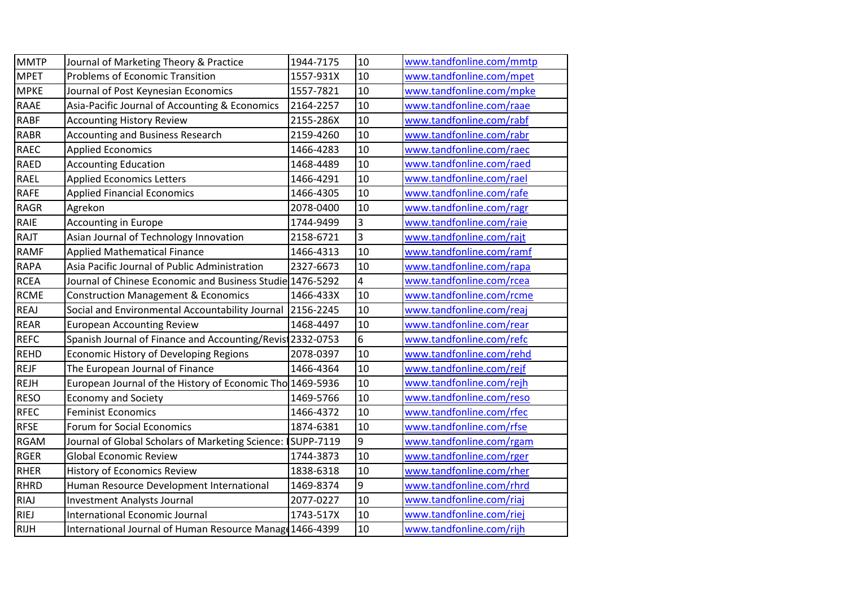| <b>MMTP</b> | Journal of Marketing Theory & Practice                     | 1944-7175 | 10             | www.tandfonline.com/mmtp |
|-------------|------------------------------------------------------------|-----------|----------------|--------------------------|
| <b>MPET</b> | <b>Problems of Economic Transition</b>                     | 1557-931X | 10             | www.tandfonline.com/mpet |
| <b>MPKE</b> | Journal of Post Keynesian Economics                        | 1557-7821 | 10             | www.tandfonline.com/mpke |
| <b>RAAE</b> | Asia-Pacific Journal of Accounting & Economics             | 2164-2257 | 10             | www.tandfonline.com/raae |
| <b>RABF</b> | <b>Accounting History Review</b>                           | 2155-286X | 10             | www.tandfonline.com/rabf |
| <b>RABR</b> | <b>Accounting and Business Research</b>                    | 2159-4260 | 10             | www.tandfonline.com/rabr |
| <b>RAEC</b> | <b>Applied Economics</b>                                   | 1466-4283 | 10             | www.tandfonline.com/raec |
| <b>RAED</b> | <b>Accounting Education</b>                                | 1468-4489 | 10             | www.tandfonline.com/raed |
| <b>RAEL</b> | <b>Applied Economics Letters</b>                           | 1466-4291 | 10             | www.tandfonline.com/rael |
| <b>RAFE</b> | <b>Applied Financial Economics</b>                         | 1466-4305 | 10             | www.tandfonline.com/rafe |
| <b>RAGR</b> | Agrekon                                                    | 2078-0400 | 10             | www.tandfonline.com/ragr |
| RAIE        | <b>Accounting in Europe</b>                                | 1744-9499 | 3              | www.tandfonline.com/raie |
| RAJT        | Asian Journal of Technology Innovation                     | 2158-6721 | 3              | www.tandfonline.com/rajt |
| <b>RAMF</b> | <b>Applied Mathematical Finance</b>                        | 1466-4313 | 10             | www.tandfonline.com/ramf |
| <b>RAPA</b> | Asia Pacific Journal of Public Administration              | 2327-6673 | 10             | www.tandfonline.com/rapa |
| <b>RCEA</b> | Journal of Chinese Economic and Business Studie 1476-5292  |           | $\overline{4}$ | www.tandfonline.com/rcea |
| <b>RCME</b> | <b>Construction Management &amp; Economics</b>             | 1466-433X | 10             | www.tandfonline.com/rcme |
| <b>REAJ</b> | Social and Environmental Accountability Journal            | 2156-2245 | 10             | www.tandfonline.com/reaj |
| <b>REAR</b> | <b>European Accounting Review</b>                          | 1468-4497 | 10             | www.tandfonline.com/rear |
| <b>REFC</b> | Spanish Journal of Finance and Accounting/Revist 2332-0753 |           | 6              | www.tandfonline.com/refc |
| <b>REHD</b> | <b>Economic History of Developing Regions</b>              | 2078-0397 | 10             | www.tandfonline.com/rehd |
| <b>REJF</b> | The European Journal of Finance                            | 1466-4364 | 10             | www.tandfonline.com/rejf |
| <b>REJH</b> | European Journal of the History of Economic Tho 1469-5936  |           | 10             | www.tandfonline.com/rejh |
| <b>RESO</b> | <b>Economy and Society</b>                                 | 1469-5766 | 10             | www.tandfonline.com/reso |
| <b>RFEC</b> | <b>Feminist Economics</b>                                  | 1466-4372 | 10             | www.tandfonline.com/rfec |
| <b>RFSE</b> | Forum for Social Economics                                 | 1874-6381 | 10             | www.tandfonline.com/rfse |
| <b>RGAM</b> | Journal of Global Scholars of Marketing Science:           | SUPP-7119 | 9              | www.tandfonline.com/rgam |
| <b>RGER</b> | <b>Global Economic Review</b>                              | 1744-3873 | 10             | www.tandfonline.com/rger |
| RHER        | <b>History of Economics Review</b>                         | 1838-6318 | 10             | www.tandfonline.com/rher |
| <b>RHRD</b> | Human Resource Development International                   | 1469-8374 | 9              | www.tandfonline.com/rhrd |
| <b>RIAJ</b> | <b>Investment Analysts Journal</b>                         | 2077-0227 | 10             | www.tandfonline.com/riaj |
| <b>RIEJ</b> | <b>International Economic Journal</b>                      | 1743-517X | 10             | www.tandfonline.com/riej |
| <b>RIJH</b> | International Journal of Human Resource Manage 1466-4399   |           | 10             | www.tandfonline.com/rijh |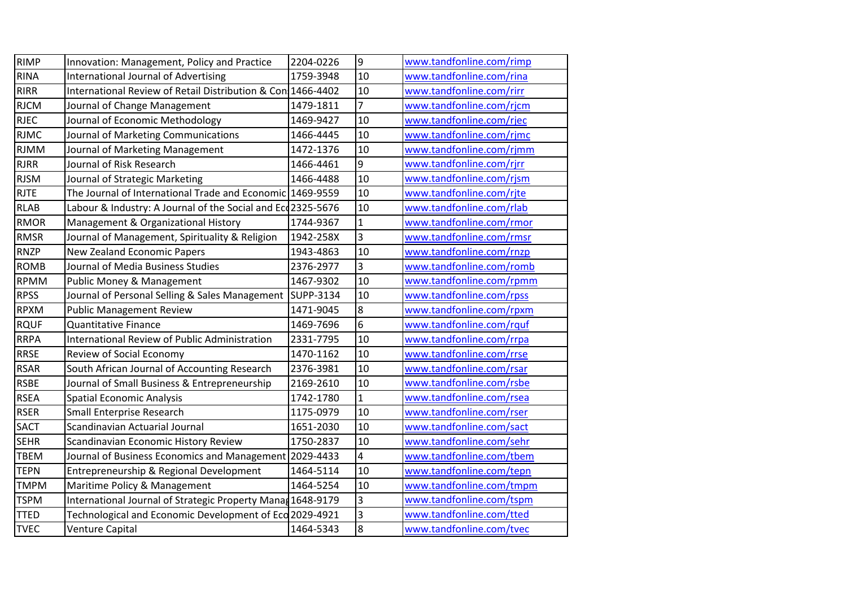| <b>RIMP</b> | Innovation: Management, Policy and Practice                 | 2204-0226 | 9              | www.tandfonline.com/rimp |
|-------------|-------------------------------------------------------------|-----------|----------------|--------------------------|
| <b>RINA</b> | International Journal of Advertising                        | 1759-3948 | 10             | www.tandfonline.com/rina |
| <b>RIRR</b> | International Review of Retail Distribution & Con 1466-4402 |           | 10             | www.tandfonline.com/rirr |
| <b>RJCM</b> | Journal of Change Management                                | 1479-1811 | 7              | www.tandfonline.com/rjcm |
| <b>RJEC</b> | Journal of Economic Methodology                             | 1469-9427 | 10             | www.tandfonline.com/rjec |
| <b>RJMC</b> | Journal of Marketing Communications                         | 1466-4445 | 10             | www.tandfonline.com/rjmc |
| <b>RJMM</b> | Journal of Marketing Management                             | 1472-1376 | 10             | www.tandfonline.com/rjmm |
| <b>RJRR</b> | Journal of Risk Research                                    | 1466-4461 | 9              | www.tandfonline.com/rjrr |
| <b>RJSM</b> | Journal of Strategic Marketing                              | 1466-4488 | 10             | www.tandfonline.com/rjsm |
| <b>RJTE</b> | The Journal of International Trade and Economic 1469-9559   |           | 10             | www.tandfonline.com/rite |
| <b>RLAB</b> | Labour & Industry: A Journal of the Social and Eco2325-5676 |           | 10             | www.tandfonline.com/rlab |
| <b>RMOR</b> | Management & Organizational History                         | 1744-9367 | $\mathbf{1}$   | www.tandfonline.com/rmor |
| <b>RMSR</b> | Journal of Management, Spirituality & Religion              | 1942-258X | 3              | www.tandfonline.com/rmsr |
| <b>RNZP</b> | New Zealand Economic Papers                                 | 1943-4863 | 10             | www.tandfonline.com/rnzp |
| <b>ROMB</b> | Journal of Media Business Studies                           | 2376-2977 | 3              | www.tandfonline.com/romb |
| <b>RPMM</b> | Public Money & Management                                   | 1467-9302 | 10             | www.tandfonline.com/rpmm |
| <b>RPSS</b> | Journal of Personal Selling & Sales Management              | SUPP-3134 | 10             | www.tandfonline.com/rpss |
| <b>RPXM</b> | <b>Public Management Review</b>                             | 1471-9045 | 8              | www.tandfonline.com/rpxm |
| <b>RQUF</b> | <b>Quantitative Finance</b>                                 | 1469-7696 | 6              | www.tandfonline.com/rquf |
| <b>RRPA</b> | International Review of Public Administration               | 2331-7795 | 10             | www.tandfonline.com/rrpa |
| <b>RRSE</b> | Review of Social Economy                                    | 1470-1162 | 10             | www.tandfonline.com/rrse |
| <b>RSAR</b> | South African Journal of Accounting Research                | 2376-3981 | 10             | www.tandfonline.com/rsar |
| <b>RSBE</b> | Journal of Small Business & Entrepreneurship                | 2169-2610 | 10             | www.tandfonline.com/rsbe |
| <b>RSEA</b> | <b>Spatial Economic Analysis</b>                            | 1742-1780 | $\mathbf{1}$   | www.tandfonline.com/rsea |
| <b>RSER</b> | <b>Small Enterprise Research</b>                            | 1175-0979 | 10             | www.tandfonline.com/rser |
| <b>SACT</b> | Scandinavian Actuarial Journal                              | 1651-2030 | 10             | www.tandfonline.com/sact |
| <b>SEHR</b> | Scandinavian Economic History Review                        | 1750-2837 | 10             | www.tandfonline.com/sehr |
| <b>TBEM</b> | Journal of Business Economics and Management                | 2029-4433 | 4              | www.tandfonline.com/tbem |
| <b>TEPN</b> | Entrepreneurship & Regional Development                     | 1464-5114 | 10             | www.tandfonline.com/tepn |
| <b>TMPM</b> | Maritime Policy & Management                                | 1464-5254 | 10             | www.tandfonline.com/tmpm |
| <b>TSPM</b> | International Journal of Strategic Property Manag 1648-9179 |           | 3              | www.tandfonline.com/tspm |
| <b>TTED</b> | Technological and Economic Development of Eco 2029-4921     |           | 3              | www.tandfonline.com/tted |
| <b>TVEC</b> | Venture Capital                                             | 1464-5343 | $\overline{8}$ | www.tandfonline.com/tvec |